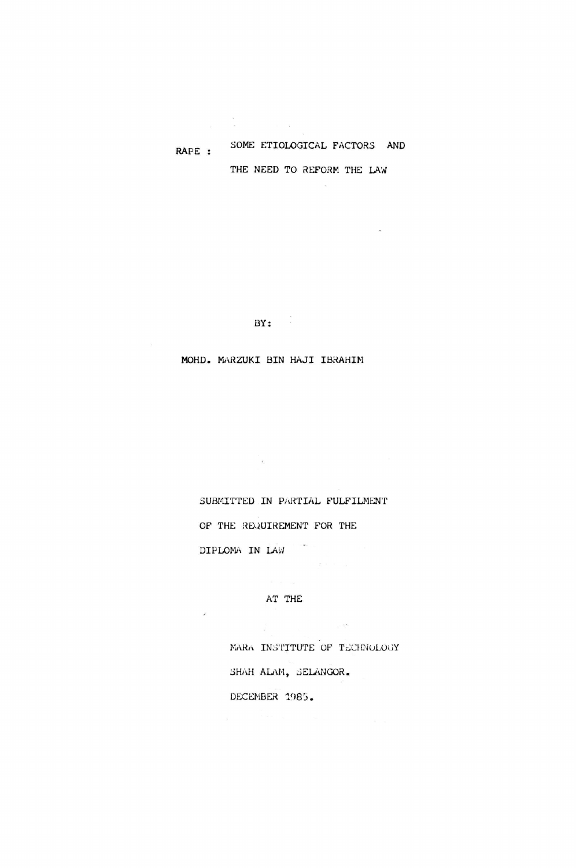# RAPE : SOME ETIOLOGICAL FACTORS AND THE NEED TO REFORM THE LAW

 $BY:$ 

**College** 

MOHD. MARZUKI BIN HAJI IBRAHIM

SUBMITTED IN PARTIAL FULFILMENT OF THE REQUIREMENT FOR THE DIPLOMA IN LAW

AT THE

J.

MARA INSTITUTE OF TECHNOLOGY SHAH ALAM, SELANGOR, DECEMBER 1985.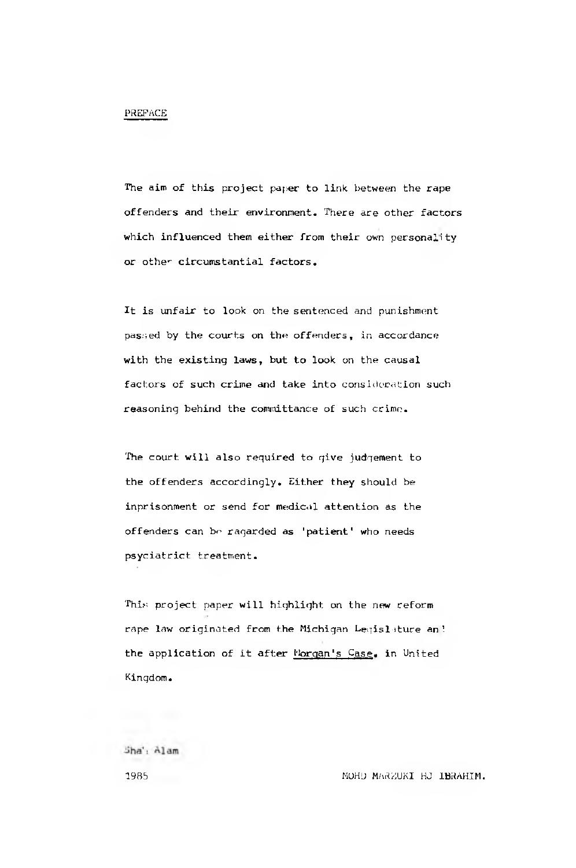#### PREFACE

The aim of this project paper to link between the rape offenders and their environment. There are other factors which influenced them either from their own personality or other circumstantial factors.

It is unfair to look on the sentenced and punishment passed by the courts on the offenders, in accordance with the existing laws, but to look on the causal factors of such crime and take into consideration such reasoning behind the committance of such crime.

The court will also required to give judgement to the offenders accordingly. Either they should be inprisonment or send for medical attention as the offenders can be ragarded as 'patient' who needs psyciatrict treatment.

This project paper will highlight on the new reform rape law originated from the Michigan Legislature an ', the application of it after Morgan's Case, in United Kingdom.

Sha', Alam

1985 MOHU MARZUKI HJ IBRAHIM.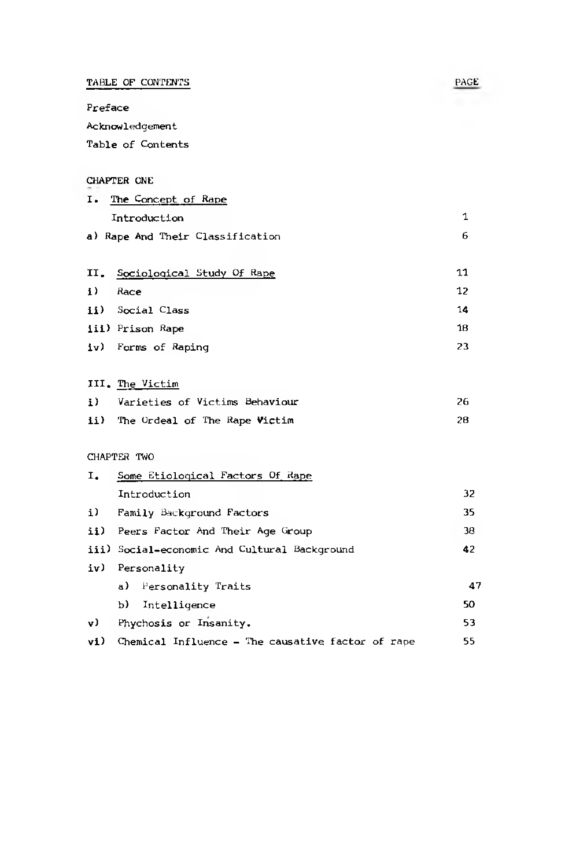TABLE OF CONTENTS PAGE PROPERTY

Preface

Acknowledgement

Table of Contents

## CHAPTER ONE

| I. The Concept of Rape           |  |
|----------------------------------|--|
| Introduction                     |  |
| a) Rape And Their Classification |  |
|                                  |  |

|              | II. Sociological Study Of Rape | 11 |
|--------------|--------------------------------|----|
| $\mathbf{i}$ | Race                           | 12 |
|              | ii) Social Class               | 14 |
|              | iii) Prison Rape               | 18 |
|              | iv) Forms of Raping            | 23 |

## III. The Victim

| i) | Varieties of Victims Behaviour    | 26 |
|----|-----------------------------------|----|
|    | ii) The Ordeal of The Rape Victim | 28 |

# CHAPTER TWO

| Ι.  | Some Etiological Factors Of Rape                  |    |
|-----|---------------------------------------------------|----|
|     | Introduction                                      | 32 |
| i)  | Family Background Factors                         | 35 |
|     | ii) Peers Factor And Their Age Group              | 38 |
|     | iii) Social-economic And Cultural Background      | 42 |
| iv) | Personality                                       |    |
|     | a) Personality Traits                             | 47 |
|     | b) Intelligence                                   | 50 |
| v)  | Phychosis or Insanity.                            | 53 |
| v1) | Chemical Influence - The causative factor of rape | 55 |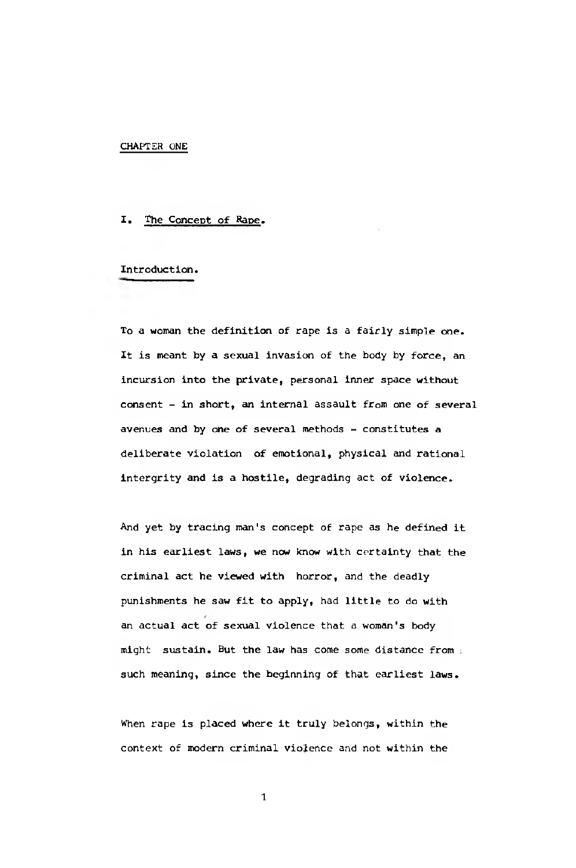#### CHAPTER ONE

### I. The Concept of Rape.

## Introduction.

To a woman the definition of rape is a fairly simple one. It is meant by a sexual invasion of the body by force, an incursion into the private, personal inner space without consent - in short, an internal assault from one of several avenues and by one of several methods - constitutes a deliberate violation of emotional, physical and rational intergrity and is a hostile, degrading act of violence.

And yet by tracing man's concept of rape as he defined it in his earliest laws, we now know with certainty that the criminal act he viewed with horror, and the deadly punishments he saw fit to apply, had little to do with an actual act of sexual violence that a woman's body might sustain. But the law has come some distance from ; such meaning, since the beginning of that earliest laws.

When rape is placed where it truly belongs, within the context of modern criminal violence and not within the

1